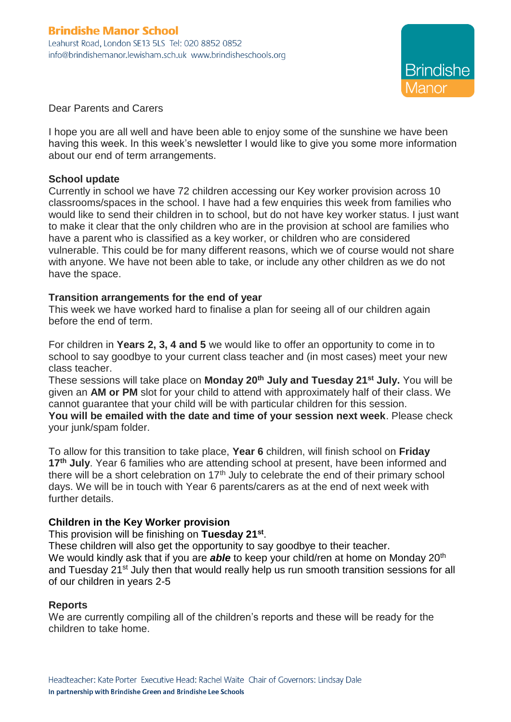

Dear Parents and Carers

I hope you are all well and have been able to enjoy some of the sunshine we have been having this week. In this week's newsletter I would like to give you some more information about our end of term arrangements.

## **School update**

Currently in school we have 72 children accessing our Key worker provision across 10 classrooms/spaces in the school. I have had a few enquiries this week from families who would like to send their children in to school, but do not have key worker status. I just want to make it clear that the only children who are in the provision at school are families who have a parent who is classified as a key worker, or children who are considered vulnerable. This could be for many different reasons, which we of course would not share with anyone. We have not been able to take, or include any other children as we do not have the space.

## **Transition arrangements for the end of year**

This week we have worked hard to finalise a plan for seeing all of our children again before the end of term.

For children in **Years 2, 3, 4 and 5** we would like to offer an opportunity to come in to school to say goodbye to your current class teacher and (in most cases) meet your new class teacher.

These sessions will take place on **Monday 20th July and Tuesday 21st July.** You will be given an **AM or PM** slot for your child to attend with approximately half of their class. We cannot guarantee that your child will be with particular children for this session.

**You will be emailed with the date and time of your session next week**. Please check your junk/spam folder.

To allow for this transition to take place, **Year 6** children, will finish school on **Friday 17th July**. Year 6 families who are attending school at present, have been informed and there will be a short celebration on  $17<sup>th</sup>$  July to celebrate the end of their primary school days. We will be in touch with Year 6 parents/carers as at the end of next week with further details.

# **Children in the Key Worker provision**

This provision will be finishing on **Tuesday 21st** .

These children will also get the opportunity to say goodbye to their teacher. We would kindly ask that if you are **able** to keep your child/ren at home on Monday 20<sup>th</sup> and Tuesday 21<sup>st</sup> July then that would really help us run smooth transition sessions for all of our children in years 2-5

#### **Reports**

We are currently compiling all of the children's reports and these will be ready for the children to take home.